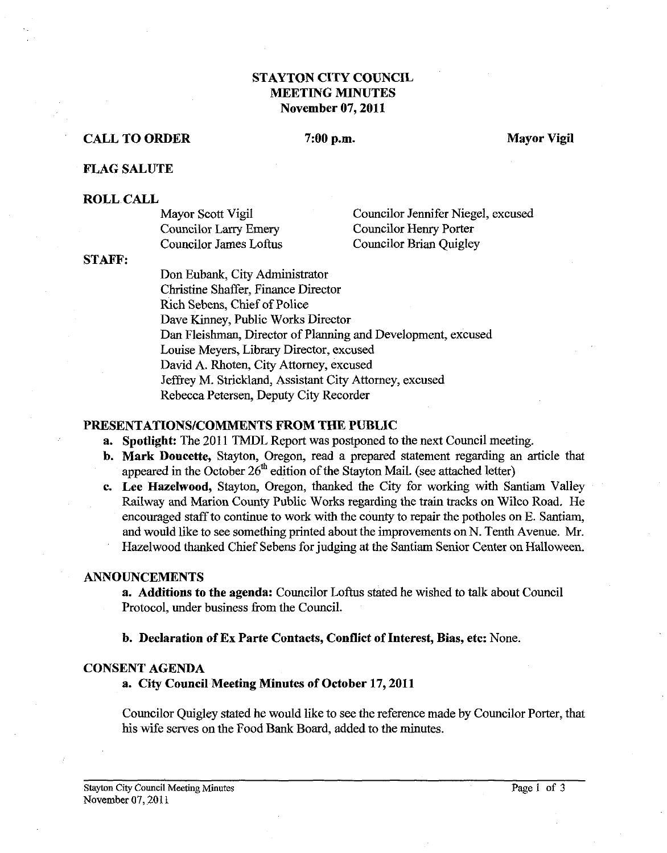# **STAYTON CITY COUNCIL MEETING MINUTES November 07,2011**

# **CALL TO ORDER** 7:00 p.m. Mayor Vigil

# **FLAG SALUTE**

#### **ROLL CALL**

| Mayor Scott Vigil      | Councilor Jennifer Niegel, excused |
|------------------------|------------------------------------|
| Councilor Larry Emery  | Councilor Henry Porter             |
| Councilor James Loftus | Councilor Brian Quigley            |

### **STAFF:**

Don Eubank, City Administrator Christine Shaffer, Finance Director Rich Sebens, Chief of Police Dave Kinney, Public Works Director Dan Fleishman, Director of Planning and Development, excused Louise Meyers, Library Director, excused David A. Rhoten, City Attorney, excused Jeffrey M. Strickland, Assistant City Attorney, excused Rebecca Petersen, Deputy City Recorder

#### **PRESENTATIONSICOMMENTS FROM THE PUBLIC**

- **a.** Spotlight: The 2011 TMDL Report was postponed to the next Council meeting.
- **b. Mark Doucette,** Stayton, Oregon, read a prepared statement regarding an article that appeared in the October *26'h* edition of the Stayton Mail. (see attached letter)
- **c. Lee Hazelwood,** Stayton, Oregon, thanked the City for working with Santiam Valley Railway and Marion County Public Works regarding the train tracks on Wilco Road. He encouraged staff to continue to work with the county to repair the potholes on E. Santiam, and would like to see something printed about the improvements on N. Tenth Avenue. Mr. Hazelwood thanked Chief Sebens for judging at the Santiam Senior Center on Halloween.

# **ANNOUNCEMENTS**

**a. Additions to the agenda:** Councilor Loftus stated he wished to talk about Council Protocol, under business from the Council.

**b. Declaration of Ex Parte Contacts, Conflict of Interest, Bias, etc:** None.

# **CONSENT AGENDA**

#### **a. City Council Meeting Minutes of October 17,2011**

Councilor Quigley stated he would like to see the reference made by Councilor Porter, that his wife serves on the Food Bank Board, added to the minutes.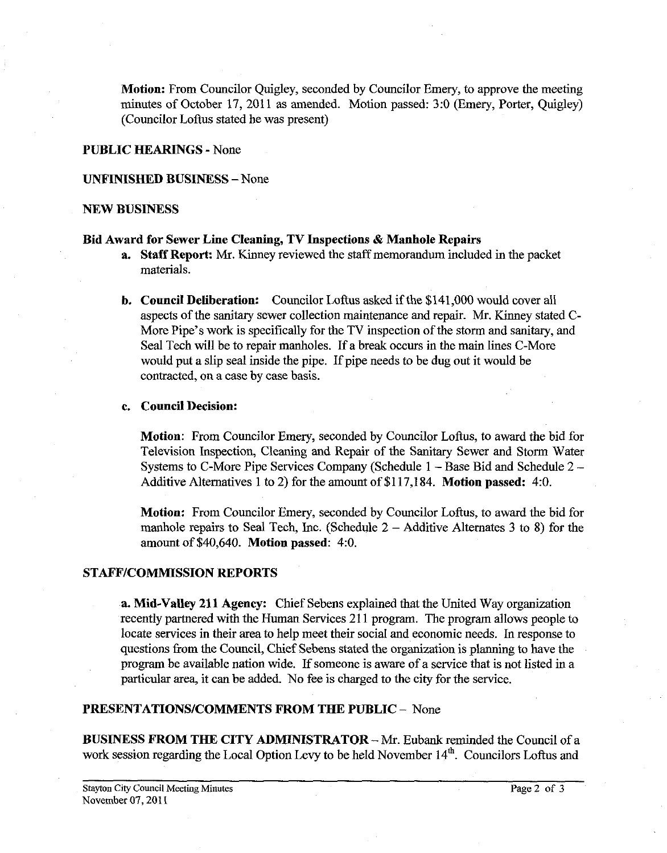**Motion:** From Councilor Quigley, seconded by Councilor Emery, to approve the meeting minutes of October 17, 2011 as amended. Motion passed: 3:O (Emery, Porter, Quigley) (Councilor Loftus stated he was present)

#### **PUBLIC HEARINGS** - None

### **UNFINISHED BUSINESS** -None

### **NEW BUSINESS**

## **Bid Award for Sewer Line Cleaning, TV Inspections** & **Manhole Repairs**

- **a.** Staff Report: Mr. Kinney reviewed the staff memorandum included in the packet materials.
- **b. Council Deliberation:** Councilor Loftus asked if the \$141,000 would cover all aspects of the sanitary sewer collection maintenance and repair. Mr. Kinney stated C-More Pipe's work is specifically for the TV inspection of the storm and sanitary, and Seal Tech will be to repair manholes. If a break occurs in the main lines C-More would put a slip seal inside the pipe. If pipe needs to be dug out it would be contracted, on a case by case basis.

# **c. Council Decision:**

**Motion:** From Councilor Emery, seconded by Councilor Loftus, to award the bid for Television Inspection, Cleaning and Repair of the Sanitary Sewer and Storm Water Systems to C-More Pipe Services Company (Schedule 1 - Base Bid and Schedule 2 - Additive Alternatives 1 to 2) for the amount of \$1 17,184. **Motion passed: 4:O.** 

**Motion:** From Councilor Emery, seconded by Councilor Loftus, to award the bid for manhole repairs to Seal Tech, Inc. (Schedule  $2 -$  Additive Alternates 3 to 8) for the amount of \$40,640. **Motion passed:** 4:O.

# **STAFFICOMMISSION REPORTS**

**a. Mid-Valley 211 Agency:** Chief Sebens explained that the United Way organization recently partnered with the Human Services 21 1 program. The program allows people to locate services in their area to help meet their social and economic needs. In response to questions from the Council, Chief Sebens stated the organization is planning to have the program be available nation wide. If someone is aware of a service that is not listed in a particular area, it can be added. No fee is charged to the city for the service.

# **PRESENTATIONSICOMMENTS FROM THE PUBLIC** - None

**BUSINESS FROM THE CITY ADMINISTRATOR - Mr. Eubank reminded the Council of a** work session regarding the Local Option Levy to be held November  $14<sup>th</sup>$ . Councilors Loftus and